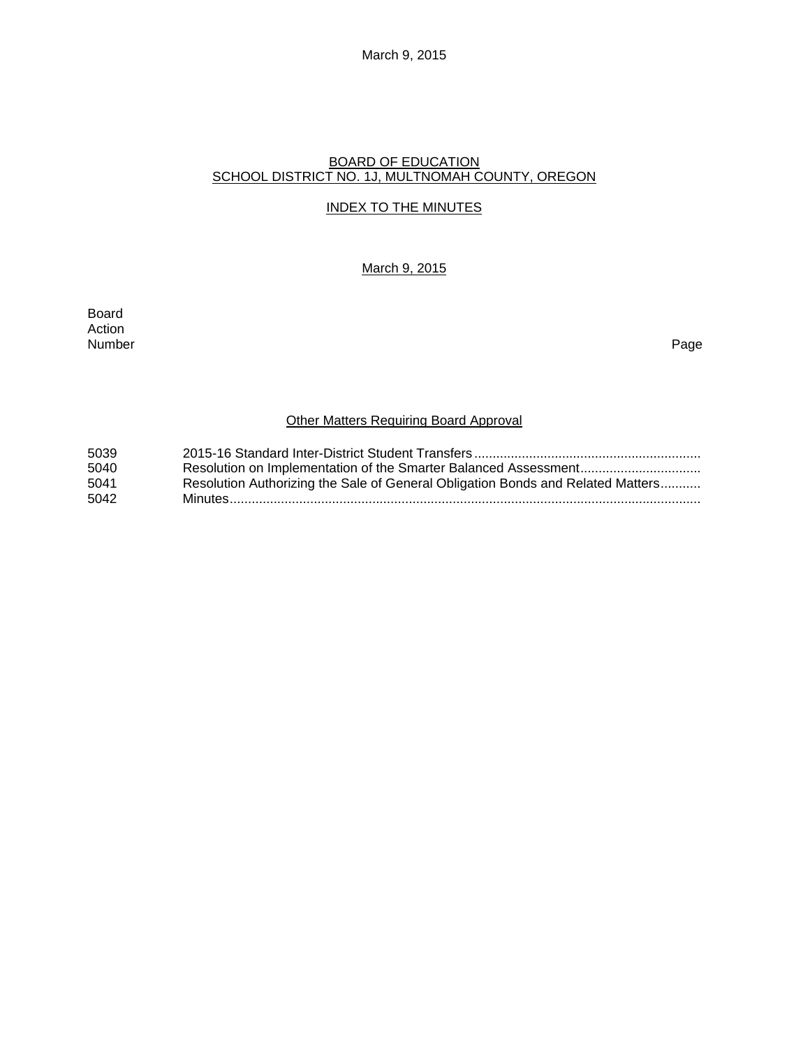March 9, 2015

# BOARD OF EDUCATION SCHOOL DISTRICT NO. 1J, MULTNOMAH COUNTY, OREGON

## INDEX TO THE MINUTES

## March 9, 2015

Board Action<br>Number Number Page

## Other Matters Requiring Board Approval

| 5039 |                                                                                 |
|------|---------------------------------------------------------------------------------|
| 5040 |                                                                                 |
| 5041 | Resolution Authorizing the Sale of General Obligation Bonds and Related Matters |
| 5042 |                                                                                 |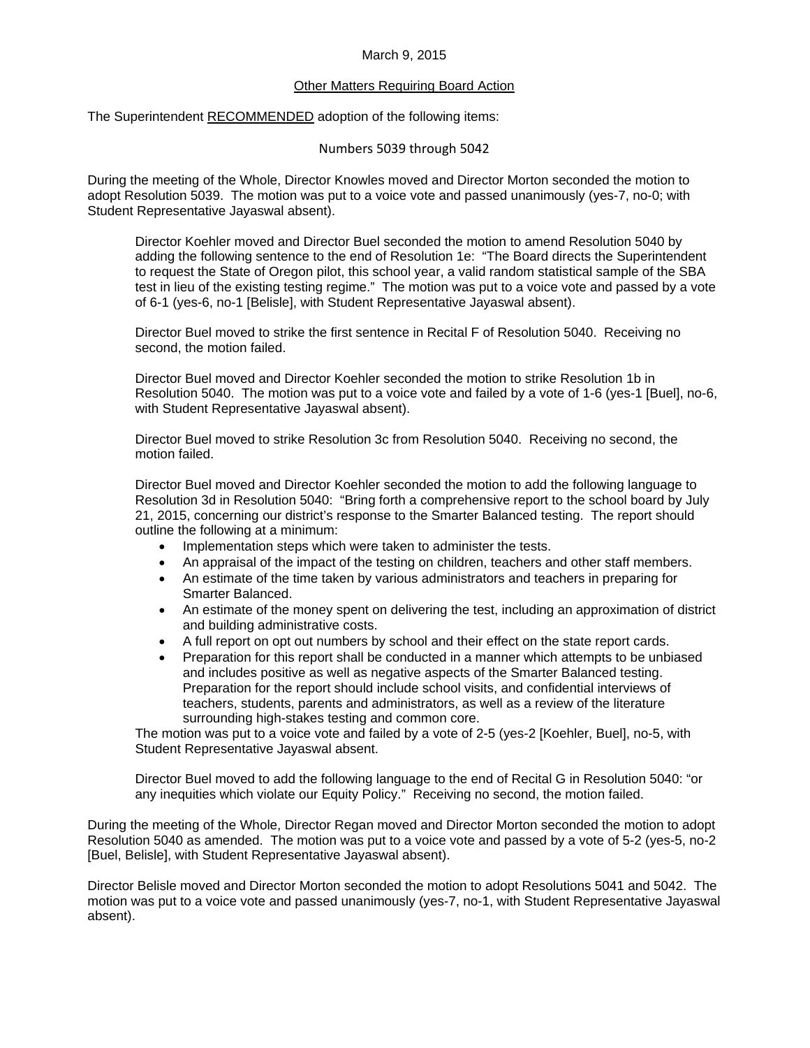### March 9, 2015

### Other Matters Requiring Board Action

The Superintendent RECOMMENDED adoption of the following items:

Numbers 5039 through 5042

During the meeting of the Whole, Director Knowles moved and Director Morton seconded the motion to adopt Resolution 5039. The motion was put to a voice vote and passed unanimously (yes-7, no-0; with Student Representative Jayaswal absent).

Director Koehler moved and Director Buel seconded the motion to amend Resolution 5040 by adding the following sentence to the end of Resolution 1e: "The Board directs the Superintendent to request the State of Oregon pilot, this school year, a valid random statistical sample of the SBA test in lieu of the existing testing regime." The motion was put to a voice vote and passed by a vote of 6-1 (yes-6, no-1 [Belisle], with Student Representative Jayaswal absent).

Director Buel moved to strike the first sentence in Recital F of Resolution 5040. Receiving no second, the motion failed.

Director Buel moved and Director Koehler seconded the motion to strike Resolution 1b in Resolution 5040. The motion was put to a voice vote and failed by a vote of 1-6 (yes-1 [Buel], no-6, with Student Representative Jayaswal absent).

Director Buel moved to strike Resolution 3c from Resolution 5040. Receiving no second, the motion failed.

Director Buel moved and Director Koehler seconded the motion to add the following language to Resolution 3d in Resolution 5040: "Bring forth a comprehensive report to the school board by July 21, 2015, concerning our district's response to the Smarter Balanced testing. The report should outline the following at a minimum:

- Implementation steps which were taken to administer the tests.
- An appraisal of the impact of the testing on children, teachers and other staff members.
- An estimate of the time taken by various administrators and teachers in preparing for Smarter Balanced.
- An estimate of the money spent on delivering the test, including an approximation of district and building administrative costs.
- A full report on opt out numbers by school and their effect on the state report cards.
- Preparation for this report shall be conducted in a manner which attempts to be unbiased and includes positive as well as negative aspects of the Smarter Balanced testing. Preparation for the report should include school visits, and confidential interviews of teachers, students, parents and administrators, as well as a review of the literature surrounding high-stakes testing and common core.

The motion was put to a voice vote and failed by a vote of 2-5 (yes-2 [Koehler, Buel], no-5, with Student Representative Jayaswal absent.

Director Buel moved to add the following language to the end of Recital G in Resolution 5040: "or any inequities which violate our Equity Policy." Receiving no second, the motion failed.

During the meeting of the Whole, Director Regan moved and Director Morton seconded the motion to adopt Resolution 5040 as amended. The motion was put to a voice vote and passed by a vote of 5-2 (yes-5, no-2 [Buel, Belisle], with Student Representative Jayaswal absent).

Director Belisle moved and Director Morton seconded the motion to adopt Resolutions 5041 and 5042. The motion was put to a voice vote and passed unanimously (yes-7, no-1, with Student Representative Jayaswal absent).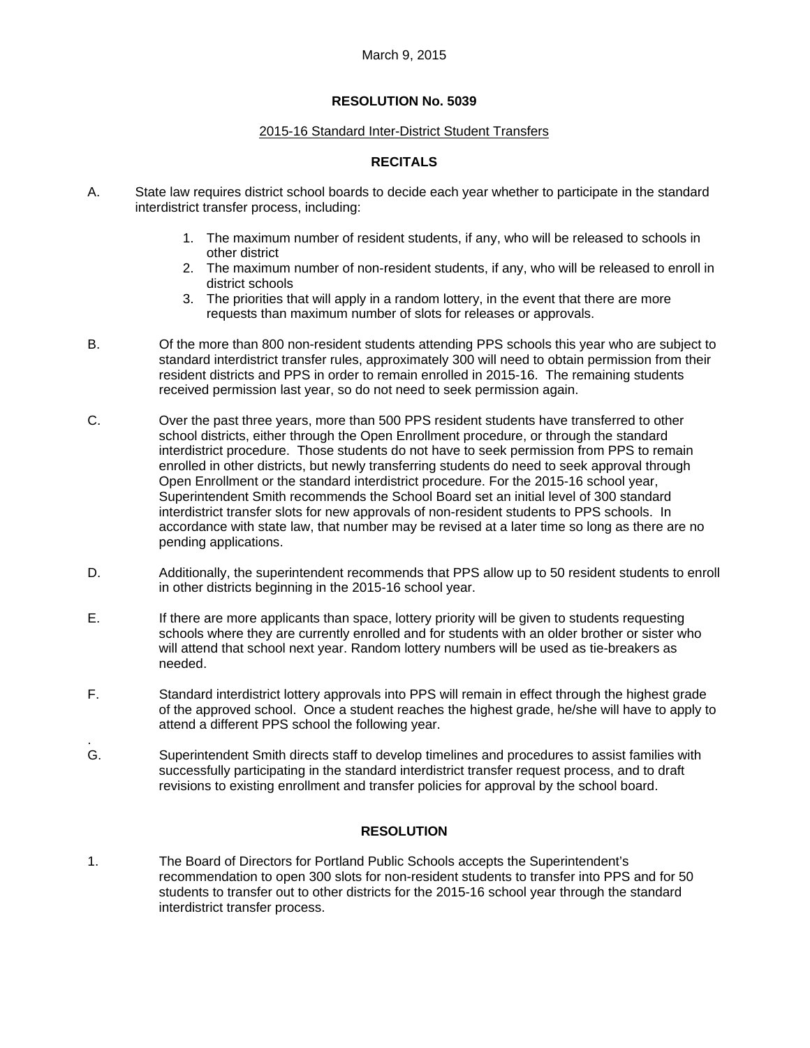## **RESOLUTION No. 5039**

## 2015-16 Standard Inter-District Student Transfers

## **RECITALS**

- A. State law requires district school boards to decide each year whether to participate in the standard interdistrict transfer process, including:
	- 1. The maximum number of resident students, if any, who will be released to schools in other district
	- 2. The maximum number of non-resident students, if any, who will be released to enroll in district schools
	- 3. The priorities that will apply in a random lottery, in the event that there are more requests than maximum number of slots for releases or approvals.
- B. Of the more than 800 non-resident students attending PPS schools this year who are subject to standard interdistrict transfer rules, approximately 300 will need to obtain permission from their resident districts and PPS in order to remain enrolled in 2015-16. The remaining students received permission last year, so do not need to seek permission again.
- C. Over the past three years, more than 500 PPS resident students have transferred to other school districts, either through the Open Enrollment procedure, or through the standard interdistrict procedure. Those students do not have to seek permission from PPS to remain enrolled in other districts, but newly transferring students do need to seek approval through Open Enrollment or the standard interdistrict procedure. For the 2015-16 school year, Superintendent Smith recommends the School Board set an initial level of 300 standard interdistrict transfer slots for new approvals of non-resident students to PPS schools. In accordance with state law, that number may be revised at a later time so long as there are no pending applications.
- D. Additionally, the superintendent recommends that PPS allow up to 50 resident students to enroll in other districts beginning in the 2015-16 school year.
- E. If there are more applicants than space, lottery priority will be given to students requesting schools where they are currently enrolled and for students with an older brother or sister who will attend that school next year. Random lottery numbers will be used as tie-breakers as needed.
- F. Standard interdistrict lottery approvals into PPS will remain in effect through the highest grade of the approved school. Once a student reaches the highest grade, he/she will have to apply to attend a different PPS school the following year.
- G. Superintendent Smith directs staff to develop timelines and procedures to assist families with successfully participating in the standard interdistrict transfer request process, and to draft revisions to existing enrollment and transfer policies for approval by the school board.

.

# **RESOLUTION**

1. The Board of Directors for Portland Public Schools accepts the Superintendent's recommendation to open 300 slots for non-resident students to transfer into PPS and for 50 students to transfer out to other districts for the 2015-16 school year through the standard interdistrict transfer process.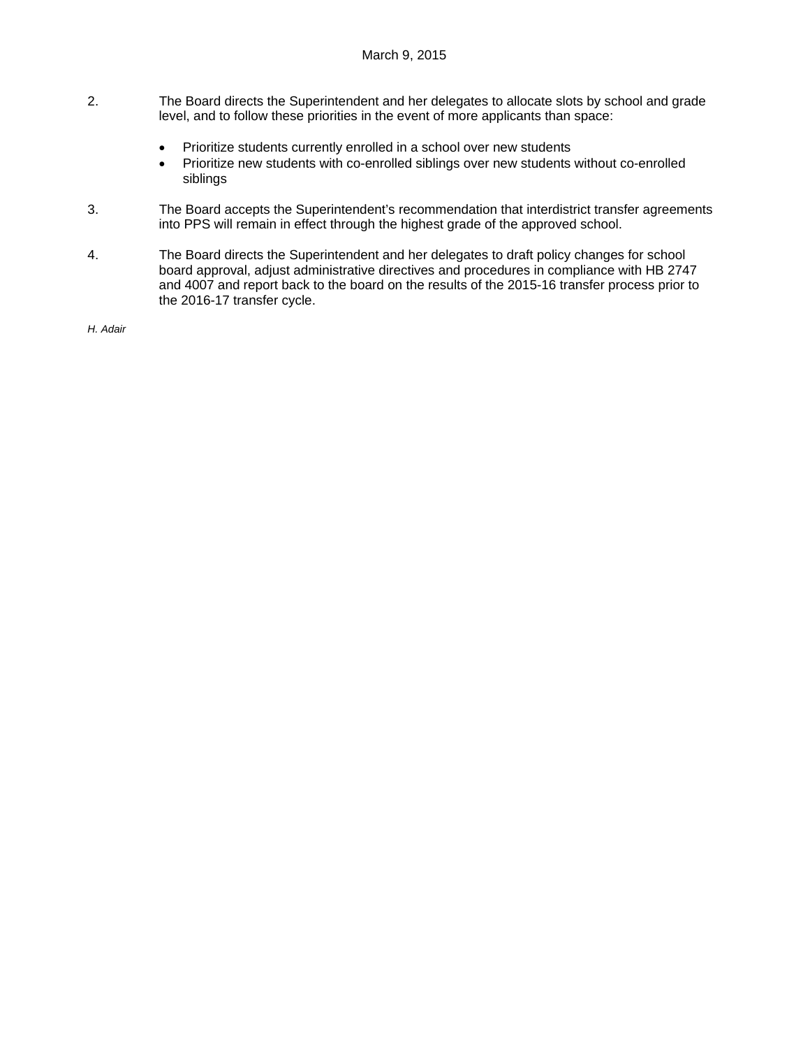- 2. The Board directs the Superintendent and her delegates to allocate slots by school and grade level, and to follow these priorities in the event of more applicants than space:
	- Prioritize students currently enrolled in a school over new students
	- Prioritize new students with co-enrolled siblings over new students without co-enrolled siblings
- 3. The Board accepts the Superintendent's recommendation that interdistrict transfer agreements into PPS will remain in effect through the highest grade of the approved school.
- 4. The Board directs the Superintendent and her delegates to draft policy changes for school board approval, adjust administrative directives and procedures in compliance with HB 2747 and 4007 and report back to the board on the results of the 2015-16 transfer process prior to the 2016-17 transfer cycle.

*H. Adair*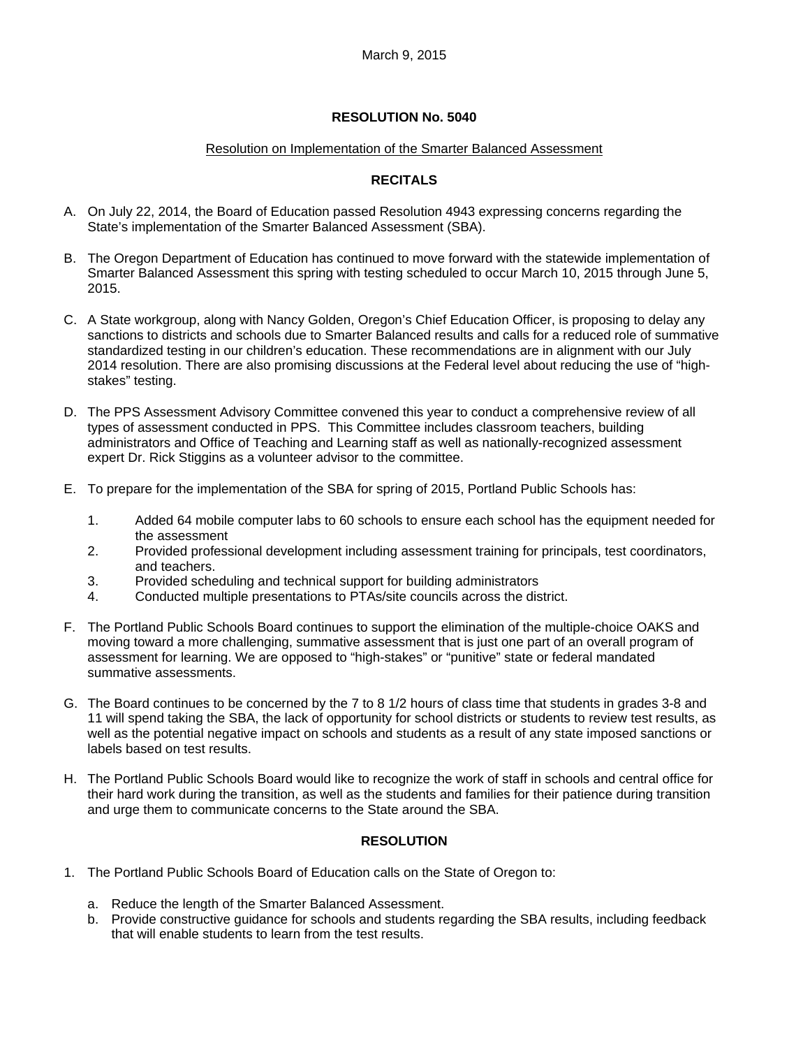# **RESOLUTION No. 5040**

## Resolution on Implementation of the Smarter Balanced Assessment

## **RECITALS**

- A. On July 22, 2014, the Board of Education passed Resolution 4943 expressing concerns regarding the State's implementation of the Smarter Balanced Assessment (SBA).
- B. The Oregon Department of Education has continued to move forward with the statewide implementation of Smarter Balanced Assessment this spring with testing scheduled to occur March 10, 2015 through June 5, 2015.
- C. A State workgroup, along with Nancy Golden, Oregon's Chief Education Officer, is proposing to delay any sanctions to districts and schools due to Smarter Balanced results and calls for a reduced role of summative standardized testing in our children's education. These recommendations are in alignment with our July 2014 resolution. There are also promising discussions at the Federal level about reducing the use of "highstakes" testing.
- D. The PPS Assessment Advisory Committee convened this year to conduct a comprehensive review of all types of assessment conducted in PPS. This Committee includes classroom teachers, building administrators and Office of Teaching and Learning staff as well as nationally-recognized assessment expert Dr. Rick Stiggins as a volunteer advisor to the committee.
- E. To prepare for the implementation of the SBA for spring of 2015, Portland Public Schools has:
	- 1. Added 64 mobile computer labs to 60 schools to ensure each school has the equipment needed for the assessment
	- 2. Provided professional development including assessment training for principals, test coordinators, and teachers.
	- 3. Provided scheduling and technical support for building administrators
	- 4. Conducted multiple presentations to PTAs/site councils across the district.
- F. The Portland Public Schools Board continues to support the elimination of the multiple-choice OAKS and moving toward a more challenging, summative assessment that is just one part of an overall program of assessment for learning. We are opposed to "high-stakes" or "punitive" state or federal mandated summative assessments.
- G. The Board continues to be concerned by the 7 to 8 1/2 hours of class time that students in grades 3-8 and 11 will spend taking the SBA, the lack of opportunity for school districts or students to review test results, as well as the potential negative impact on schools and students as a result of any state imposed sanctions or labels based on test results.
- H. The Portland Public Schools Board would like to recognize the work of staff in schools and central office for their hard work during the transition, as well as the students and families for their patience during transition and urge them to communicate concerns to the State around the SBA.

## **RESOLUTION**

- 1. The Portland Public Schools Board of Education calls on the State of Oregon to:
	- a. Reduce the length of the Smarter Balanced Assessment.
	- b. Provide constructive guidance for schools and students regarding the SBA results, including feedback that will enable students to learn from the test results.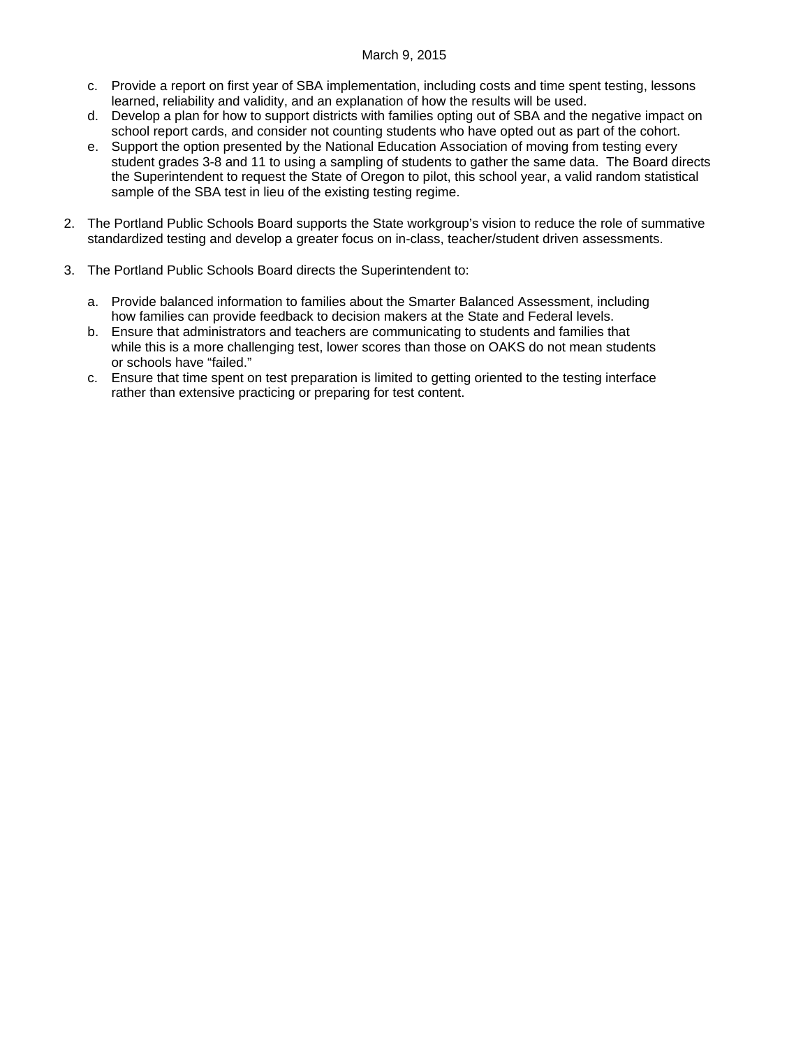### March 9, 2015

- c. Provide a report on first year of SBA implementation, including costs and time spent testing, lessons learned, reliability and validity, and an explanation of how the results will be used.
- d. Develop a plan for how to support districts with families opting out of SBA and the negative impact on school report cards, and consider not counting students who have opted out as part of the cohort.
- e. Support the option presented by the National Education Association of moving from testing every student grades 3-8 and 11 to using a sampling of students to gather the same data. The Board directs the Superintendent to request the State of Oregon to pilot, this school year, a valid random statistical sample of the SBA test in lieu of the existing testing regime.
- 2. The Portland Public Schools Board supports the State workgroup's vision to reduce the role of summative standardized testing and develop a greater focus on in-class, teacher/student driven assessments.
- 3. The Portland Public Schools Board directs the Superintendent to:
	- a. Provide balanced information to families about the Smarter Balanced Assessment, including how families can provide feedback to decision makers at the State and Federal levels.
	- b. Ensure that administrators and teachers are communicating to students and families that while this is a more challenging test, lower scores than those on OAKS do not mean students or schools have "failed."
	- c. Ensure that time spent on test preparation is limited to getting oriented to the testing interface rather than extensive practicing or preparing for test content.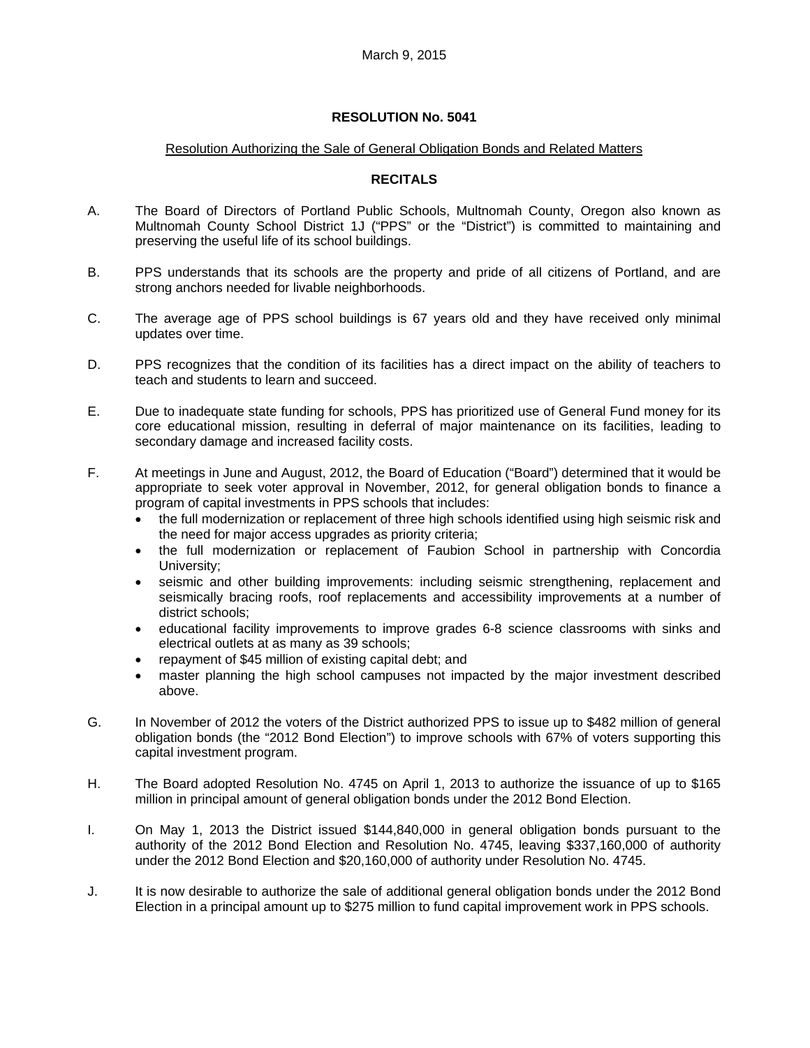## **RESOLUTION No. 5041**

## Resolution Authorizing the Sale of General Obligation Bonds and Related Matters

## **RECITALS**

- A. The Board of Directors of Portland Public Schools, Multnomah County, Oregon also known as Multnomah County School District 1J ("PPS" or the "District") is committed to maintaining and preserving the useful life of its school buildings.
- B. PPS understands that its schools are the property and pride of all citizens of Portland, and are strong anchors needed for livable neighborhoods.
- C. The average age of PPS school buildings is 67 years old and they have received only minimal updates over time.
- D. PPS recognizes that the condition of its facilities has a direct impact on the ability of teachers to teach and students to learn and succeed.
- E. Due to inadequate state funding for schools, PPS has prioritized use of General Fund money for its core educational mission, resulting in deferral of major maintenance on its facilities, leading to secondary damage and increased facility costs.
- F. At meetings in June and August, 2012, the Board of Education ("Board") determined that it would be appropriate to seek voter approval in November, 2012, for general obligation bonds to finance a program of capital investments in PPS schools that includes:
	- the full modernization or replacement of three high schools identified using high seismic risk and the need for major access upgrades as priority criteria;
	- the full modernization or replacement of Faubion School in partnership with Concordia University;
	- seismic and other building improvements: including seismic strengthening, replacement and seismically bracing roofs, roof replacements and accessibility improvements at a number of district schools;
	- educational facility improvements to improve grades 6-8 science classrooms with sinks and electrical outlets at as many as 39 schools;
	- repayment of \$45 million of existing capital debt; and
	- master planning the high school campuses not impacted by the major investment described above.
- G. In November of 2012 the voters of the District authorized PPS to issue up to \$482 million of general obligation bonds (the "2012 Bond Election") to improve schools with 67% of voters supporting this capital investment program.
- H. The Board adopted Resolution No. 4745 on April 1, 2013 to authorize the issuance of up to \$165 million in principal amount of general obligation bonds under the 2012 Bond Election.
- I. On May 1, 2013 the District issued \$144,840,000 in general obligation bonds pursuant to the authority of the 2012 Bond Election and Resolution No. 4745, leaving \$337,160,000 of authority under the 2012 Bond Election and \$20,160,000 of authority under Resolution No. 4745.
- J. It is now desirable to authorize the sale of additional general obligation bonds under the 2012 Bond Election in a principal amount up to \$275 million to fund capital improvement work in PPS schools.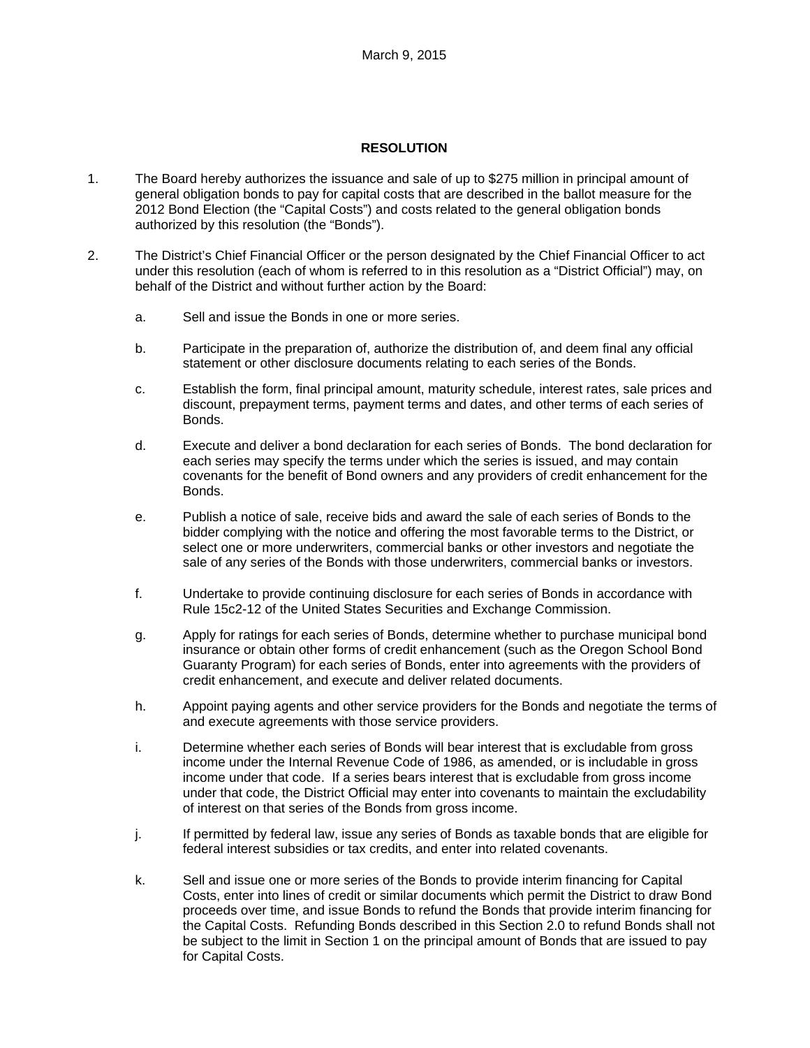# **RESOLUTION**

- 1. The Board hereby authorizes the issuance and sale of up to \$275 million in principal amount of general obligation bonds to pay for capital costs that are described in the ballot measure for the 2012 Bond Election (the "Capital Costs") and costs related to the general obligation bonds authorized by this resolution (the "Bonds").
- 2. The District's Chief Financial Officer or the person designated by the Chief Financial Officer to act under this resolution (each of whom is referred to in this resolution as a "District Official") may, on behalf of the District and without further action by the Board:
	- a. Sell and issue the Bonds in one or more series.
	- b. Participate in the preparation of, authorize the distribution of, and deem final any official statement or other disclosure documents relating to each series of the Bonds.
	- c. Establish the form, final principal amount, maturity schedule, interest rates, sale prices and discount, prepayment terms, payment terms and dates, and other terms of each series of Bonds.
	- d. Execute and deliver a bond declaration for each series of Bonds. The bond declaration for each series may specify the terms under which the series is issued, and may contain covenants for the benefit of Bond owners and any providers of credit enhancement for the Bonds.
	- e. Publish a notice of sale, receive bids and award the sale of each series of Bonds to the bidder complying with the notice and offering the most favorable terms to the District, or select one or more underwriters, commercial banks or other investors and negotiate the sale of any series of the Bonds with those underwriters, commercial banks or investors.
	- f. Undertake to provide continuing disclosure for each series of Bonds in accordance with Rule 15c2-12 of the United States Securities and Exchange Commission.
	- g. Apply for ratings for each series of Bonds, determine whether to purchase municipal bond insurance or obtain other forms of credit enhancement (such as the Oregon School Bond Guaranty Program) for each series of Bonds, enter into agreements with the providers of credit enhancement, and execute and deliver related documents.
	- h. Appoint paying agents and other service providers for the Bonds and negotiate the terms of and execute agreements with those service providers.
	- i. Determine whether each series of Bonds will bear interest that is excludable from gross income under the Internal Revenue Code of 1986, as amended, or is includable in gross income under that code. If a series bears interest that is excludable from gross income under that code, the District Official may enter into covenants to maintain the excludability of interest on that series of the Bonds from gross income.
	- j. If permitted by federal law, issue any series of Bonds as taxable bonds that are eligible for federal interest subsidies or tax credits, and enter into related covenants.
	- k. Sell and issue one or more series of the Bonds to provide interim financing for Capital Costs, enter into lines of credit or similar documents which permit the District to draw Bond proceeds over time, and issue Bonds to refund the Bonds that provide interim financing for the Capital Costs. Refunding Bonds described in this Section 2.0 to refund Bonds shall not be subject to the limit in Section 1 on the principal amount of Bonds that are issued to pay for Capital Costs.